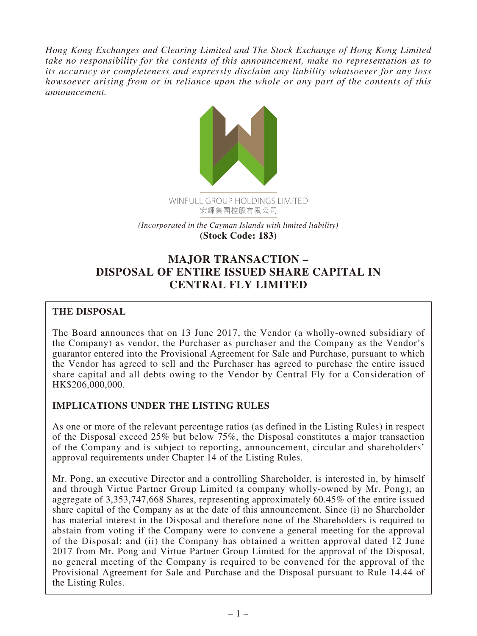*Hong Kong Exchanges and Clearing Limited and The Stock Exchange of Hong Kong Limited take no responsibility for the contents of this announcement, make no representation as to its accuracy or completeness and expressly disclaim any liability whatsoever for any loss howsoever arising from or in reliance upon the whole or any part of the contents of this announcement.*



*(Incorporated in the Cayman Islands with limited liability)* **(Stock Code: 183)**

# **MAJOR TRANSACTION – DISPOSAL OF ENTIRE ISSUED SHARE CAPITAL IN CENTRAL FLY LIMITED**

# **THE DISPOSAL**

The Board announces that on 13 June 2017, the Vendor (a wholly-owned subsidiary of the Company) as vendor, the Purchaser as purchaser and the Company as the Vendor's guarantor entered into the Provisional Agreement for Sale and Purchase, pursuant to which the Vendor has agreed to sell and the Purchaser has agreed to purchase the entire issued share capital and all debts owing to the Vendor by Central Fly for a Consideration of HK\$206,000,000.

# **IMPLICATIONS UNDER THE LISTING RULES**

As one or more of the relevant percentage ratios (as defined in the Listing Rules) in respect of the Disposal exceed 25% but below 75%, the Disposal constitutes a major transaction of the Company and is subject to reporting, announcement, circular and shareholders' approval requirements under Chapter 14 of the Listing Rules.

Mr. Pong, an executive Director and a controlling Shareholder, is interested in, by himself and through Virtue Partner Group Limited (a company wholly-owned by Mr. Pong), an aggregate of 3,353,747,668 Shares, representing approximately 60.45% of the entire issued share capital of the Company as at the date of this announcement. Since (i) no Shareholder has material interest in the Disposal and therefore none of the Shareholders is required to abstain from voting if the Company were to convene a general meeting for the approval of the Disposal; and (ii) the Company has obtained a written approval dated 12 June 2017 from Mr. Pong and Virtue Partner Group Limited for the approval of the Disposal, no general meeting of the Company is required to be convened for the approval of the Provisional Agreement for Sale and Purchase and the Disposal pursuant to Rule 14.44 of the Listing Rules.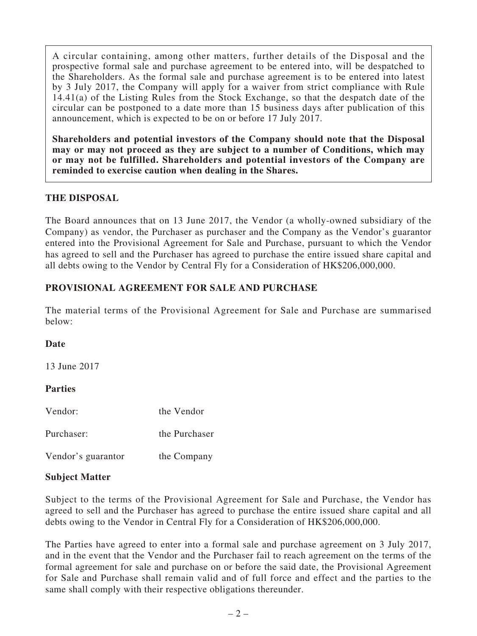A circular containing, among other matters, further details of the Disposal and the prospective formal sale and purchase agreement to be entered into, will be despatched to the Shareholders. As the formal sale and purchase agreement is to be entered into latest by 3 July 2017, the Company will apply for a waiver from strict compliance with Rule 14.41(a) of the Listing Rules from the Stock Exchange, so that the despatch date of the circular can be postponed to a date more than 15 business days after publication of this announcement, which is expected to be on or before 17 July 2017.

**Shareholders and potential investors of the Company should note that the Disposal may or may not proceed as they are subject to a number of Conditions, which may or may not be fulfilled. Shareholders and potential investors of the Company are reminded to exercise caution when dealing in the Shares.**

# **THE DISPOSAL**

The Board announces that on 13 June 2017, the Vendor (a wholly-owned subsidiary of the Company) as vendor, the Purchaser as purchaser and the Company as the Vendor's guarantor entered into the Provisional Agreement for Sale and Purchase, pursuant to which the Vendor has agreed to sell and the Purchaser has agreed to purchase the entire issued share capital and all debts owing to the Vendor by Central Fly for a Consideration of HK\$206,000,000.

# **PROVISIONAL AGREEMENT FOR SALE AND PURCHASE**

The material terms of the Provisional Agreement for Sale and Purchase are summarised below:

# **Date**

13 June 2017

# **Parties**

| Vendor: | the Vendor |
|---------|------------|
|         |            |

Purchaser: the Purchaser

Vendor's guarantor the Company

# **Subject Matter**

Subject to the terms of the Provisional Agreement for Sale and Purchase, the Vendor has agreed to sell and the Purchaser has agreed to purchase the entire issued share capital and all debts owing to the Vendor in Central Fly for a Consideration of HK\$206,000,000.

The Parties have agreed to enter into a formal sale and purchase agreement on 3 July 2017, and in the event that the Vendor and the Purchaser fail to reach agreement on the terms of the formal agreement for sale and purchase on or before the said date, the Provisional Agreement for Sale and Purchase shall remain valid and of full force and effect and the parties to the same shall comply with their respective obligations thereunder.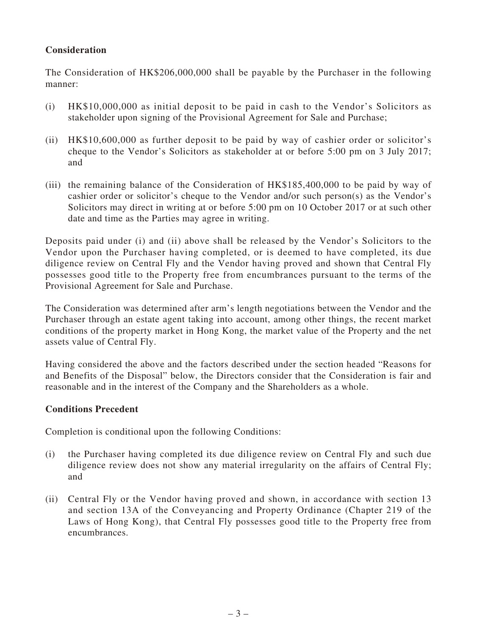# **Consideration**

The Consideration of HK\$206,000,000 shall be payable by the Purchaser in the following manner:

- (i) HK\$10,000,000 as initial deposit to be paid in cash to the Vendor's Solicitors as stakeholder upon signing of the Provisional Agreement for Sale and Purchase;
- (ii) HK\$10,600,000 as further deposit to be paid by way of cashier order or solicitor's cheque to the Vendor's Solicitors as stakeholder at or before 5:00 pm on 3 July 2017; and
- (iii) the remaining balance of the Consideration of HK\$185,400,000 to be paid by way of cashier order or solicitor's cheque to the Vendor and/or such person(s) as the Vendor's Solicitors may direct in writing at or before 5:00 pm on 10 October 2017 or at such other date and time as the Parties may agree in writing.

Deposits paid under (i) and (ii) above shall be released by the Vendor's Solicitors to the Vendor upon the Purchaser having completed, or is deemed to have completed, its due diligence review on Central Fly and the Vendor having proved and shown that Central Fly possesses good title to the Property free from encumbrances pursuant to the terms of the Provisional Agreement for Sale and Purchase.

The Consideration was determined after arm's length negotiations between the Vendor and the Purchaser through an estate agent taking into account, among other things, the recent market conditions of the property market in Hong Kong, the market value of the Property and the net assets value of Central Fly.

Having considered the above and the factors described under the section headed "Reasons for and Benefits of the Disposal" below, the Directors consider that the Consideration is fair and reasonable and in the interest of the Company and the Shareholders as a whole.

# **Conditions Precedent**

Completion is conditional upon the following Conditions:

- (i) the Purchaser having completed its due diligence review on Central Fly and such due diligence review does not show any material irregularity on the affairs of Central Fly; and
- (ii) Central Fly or the Vendor having proved and shown, in accordance with section 13 and section 13A of the Conveyancing and Property Ordinance (Chapter 219 of the Laws of Hong Kong), that Central Fly possesses good title to the Property free from encumbrances.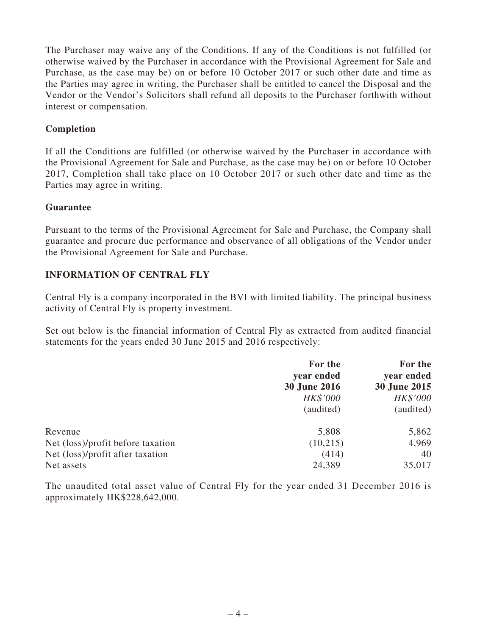The Purchaser may waive any of the Conditions. If any of the Conditions is not fulfilled (or otherwise waived by the Purchaser in accordance with the Provisional Agreement for Sale and Purchase, as the case may be) on or before 10 October 2017 or such other date and time as the Parties may agree in writing, the Purchaser shall be entitled to cancel the Disposal and the Vendor or the Vendor's Solicitors shall refund all deposits to the Purchaser forthwith without interest or compensation.

### **Completion**

If all the Conditions are fulfilled (or otherwise waived by the Purchaser in accordance with the Provisional Agreement for Sale and Purchase, as the case may be) on or before 10 October 2017, Completion shall take place on 10 October 2017 or such other date and time as the Parties may agree in writing.

#### **Guarantee**

Pursuant to the terms of the Provisional Agreement for Sale and Purchase, the Company shall guarantee and procure due performance and observance of all obligations of the Vendor under the Provisional Agreement for Sale and Purchase.

### **INFORMATION OF CENTRAL FLY**

Central Fly is a company incorporated in the BVI with limited liability. The principal business activity of Central Fly is property investment.

Set out below is the financial information of Central Fly as extracted from audited financial statements for the years ended 30 June 2015 and 2016 respectively:

|                                   | For the<br>year ended<br><b>30 June 2016</b> | For the<br>year ended<br>30 June 2015 |
|-----------------------------------|----------------------------------------------|---------------------------------------|
|                                   |                                              |                                       |
|                                   |                                              |                                       |
|                                   | HK\$'000                                     | HK\$'000                              |
|                                   | (audited)                                    | (audited)                             |
| Revenue                           | 5,808                                        | 5,862                                 |
| Net (loss)/profit before taxation | (10,215)                                     | 4,969                                 |
| Net (loss)/profit after taxation  | (414)                                        | 40                                    |
| Net assets                        | 24,389                                       | 35,017                                |

The unaudited total asset value of Central Fly for the year ended 31 December 2016 is approximately HK\$228,642,000.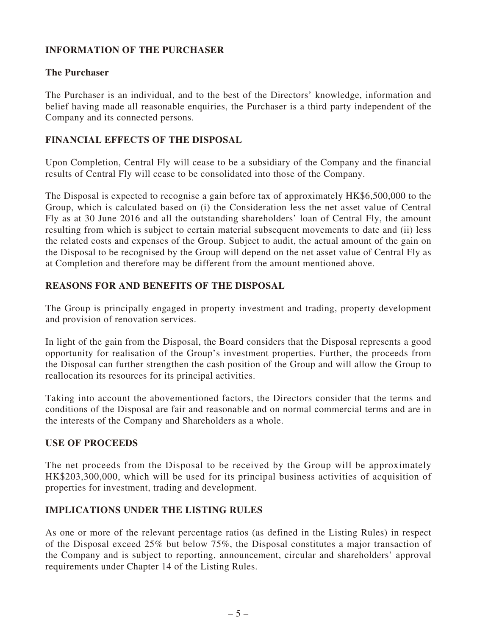# **INFORMATION OF THE PURCHASER**

### **The Purchaser**

The Purchaser is an individual, and to the best of the Directors' knowledge, information and belief having made all reasonable enquiries, the Purchaser is a third party independent of the Company and its connected persons.

# **FINANCIAL EFFECTS OF THE DISPOSAL**

Upon Completion, Central Fly will cease to be a subsidiary of the Company and the financial results of Central Fly will cease to be consolidated into those of the Company.

The Disposal is expected to recognise a gain before tax of approximately HK\$6,500,000 to the Group, which is calculated based on (i) the Consideration less the net asset value of Central Fly as at 30 June 2016 and all the outstanding shareholders' loan of Central Fly, the amount resulting from which is subject to certain material subsequent movements to date and (ii) less the related costs and expenses of the Group. Subject to audit, the actual amount of the gain on the Disposal to be recognised by the Group will depend on the net asset value of Central Fly as at Completion and therefore may be different from the amount mentioned above.

# **REASONS FOR AND BENEFITS OF THE DISPOSAL**

The Group is principally engaged in property investment and trading, property development and provision of renovation services.

In light of the gain from the Disposal, the Board considers that the Disposal represents a good opportunity for realisation of the Group's investment properties. Further, the proceeds from the Disposal can further strengthen the cash position of the Group and will allow the Group to reallocation its resources for its principal activities.

Taking into account the abovementioned factors, the Directors consider that the terms and conditions of the Disposal are fair and reasonable and on normal commercial terms and are in the interests of the Company and Shareholders as a whole.

#### **USE OF PROCEEDS**

The net proceeds from the Disposal to be received by the Group will be approximately HK\$203,300,000, which will be used for its principal business activities of acquisition of properties for investment, trading and development.

# **IMPLICATIONS UNDER THE LISTING RULES**

As one or more of the relevant percentage ratios (as defined in the Listing Rules) in respect of the Disposal exceed 25% but below 75%, the Disposal constitutes a major transaction of the Company and is subject to reporting, announcement, circular and shareholders' approval requirements under Chapter 14 of the Listing Rules.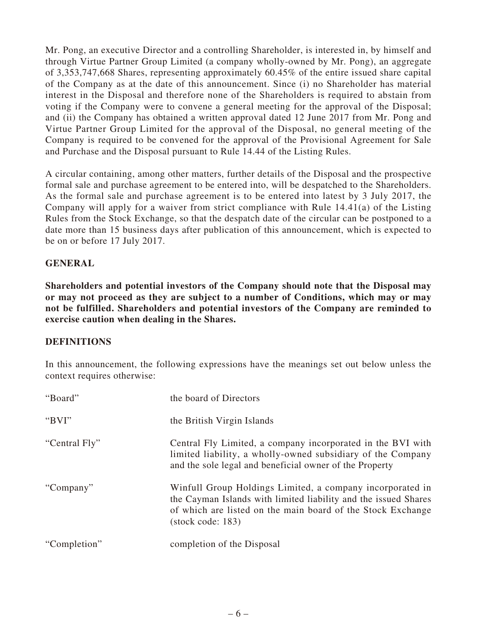Mr. Pong, an executive Director and a controlling Shareholder, is interested in, by himself and through Virtue Partner Group Limited (a company wholly-owned by Mr. Pong), an aggregate of 3,353,747,668 Shares, representing approximately 60.45% of the entire issued share capital of the Company as at the date of this announcement. Since (i) no Shareholder has material interest in the Disposal and therefore none of the Shareholders is required to abstain from voting if the Company were to convene a general meeting for the approval of the Disposal; and (ii) the Company has obtained a written approval dated 12 June 2017 from Mr. Pong and Virtue Partner Group Limited for the approval of the Disposal, no general meeting of the Company is required to be convened for the approval of the Provisional Agreement for Sale and Purchase and the Disposal pursuant to Rule 14.44 of the Listing Rules.

A circular containing, among other matters, further details of the Disposal and the prospective formal sale and purchase agreement to be entered into, will be despatched to the Shareholders. As the formal sale and purchase agreement is to be entered into latest by 3 July 2017, the Company will apply for a waiver from strict compliance with Rule 14.41(a) of the Listing Rules from the Stock Exchange, so that the despatch date of the circular can be postponed to a date more than 15 business days after publication of this announcement, which is expected to be on or before 17 July 2017.

### **GENERAL**

**Shareholders and potential investors of the Company should note that the Disposal may or may not proceed as they are subject to a number of Conditions, which may or may not be fulfilled. Shareholders and potential investors of the Company are reminded to exercise caution when dealing in the Shares.**

#### **DEFINITIONS**

In this announcement, the following expressions have the meanings set out below unless the context requires otherwise:

| "Board"       | the board of Directors                                                                                                                                                                                                    |
|---------------|---------------------------------------------------------------------------------------------------------------------------------------------------------------------------------------------------------------------------|
| "BVI"         | the British Virgin Islands                                                                                                                                                                                                |
| "Central Fly" | Central Fly Limited, a company incorporated in the BVI with<br>limited liability, a wholly-owned subsidiary of the Company<br>and the sole legal and beneficial owner of the Property                                     |
| "Company"     | Winfull Group Holdings Limited, a company incorporated in<br>the Cayman Islands with limited liability and the issued Shares<br>of which are listed on the main board of the Stock Exchange<br>$(\text{stock code}: 183)$ |
| "Completion"  | completion of the Disposal                                                                                                                                                                                                |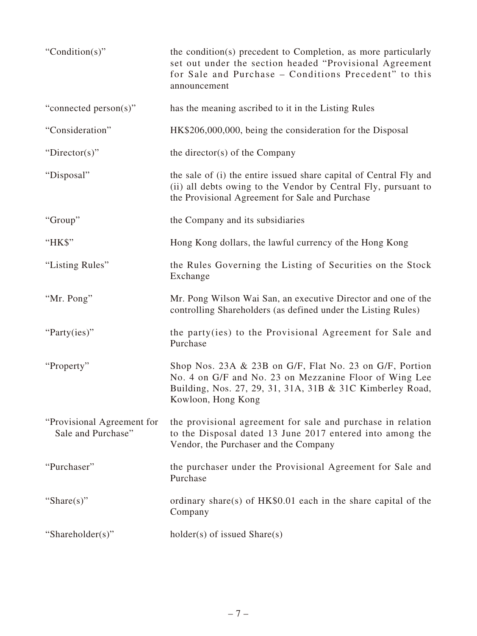| "Condition(s)"                                   | the condition(s) precedent to Completion, as more particularly<br>set out under the section headed "Provisional Agreement<br>for Sale and Purchase - Conditions Precedent" to this<br>announcement   |
|--------------------------------------------------|------------------------------------------------------------------------------------------------------------------------------------------------------------------------------------------------------|
| "connected person(s)"                            | has the meaning ascribed to it in the Listing Rules                                                                                                                                                  |
| "Consideration"                                  | HK\$206,000,000, being the consideration for the Disposal                                                                                                                                            |
| "Director(s)"                                    | the director(s) of the Company                                                                                                                                                                       |
| "Disposal"                                       | the sale of (i) the entire issued share capital of Central Fly and<br>(ii) all debts owing to the Vendor by Central Fly, pursuant to<br>the Provisional Agreement for Sale and Purchase              |
| "Group"                                          | the Company and its subsidiaries                                                                                                                                                                     |
| "HK\$"                                           | Hong Kong dollars, the lawful currency of the Hong Kong                                                                                                                                              |
| "Listing Rules"                                  | the Rules Governing the Listing of Securities on the Stock<br>Exchange                                                                                                                               |
| "Mr. Pong"                                       | Mr. Pong Wilson Wai San, an executive Director and one of the<br>controlling Shareholders (as defined under the Listing Rules)                                                                       |
| "Party(ies)"                                     | the party (ies) to the Provisional Agreement for Sale and<br>Purchase                                                                                                                                |
| "Property"                                       | Shop Nos. 23A & 23B on G/F, Flat No. 23 on G/F, Portion<br>No. 4 on G/F and No. 23 on Mezzanine Floor of Wing Lee<br>Building, Nos. 27, 29, 31, 31A, 31B & 31C Kimberley Road,<br>Kowloon, Hong Kong |
| "Provisional Agreement for<br>Sale and Purchase" | the provisional agreement for sale and purchase in relation<br>to the Disposal dated 13 June 2017 entered into among the<br>Vendor, the Purchaser and the Company                                    |
| "Purchaser"                                      | the purchaser under the Provisional Agreement for Sale and<br>Purchase                                                                                                                               |
| "Share $(s)$ "                                   | ordinary share(s) of $HK$0.01$ each in the share capital of the<br>Company                                                                                                                           |
| "Shareholder(s)"                                 | $holder(s)$ of issued $Share(s)$                                                                                                                                                                     |